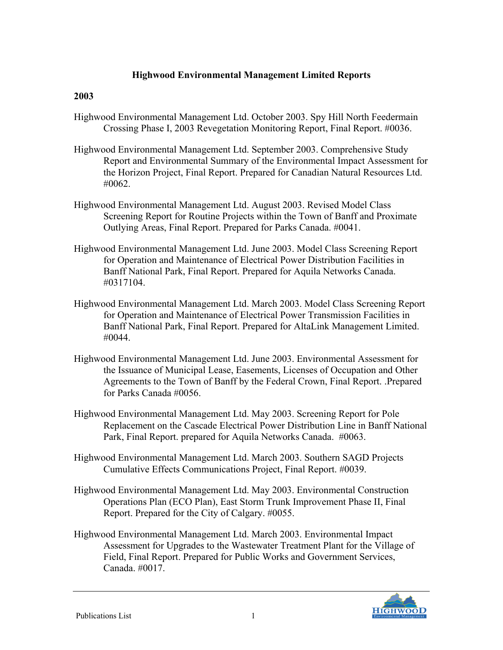## **Highwood Environmental Management Limited Reports**

## **2003**

- Highwood Environmental Management Ltd. October 2003. Spy Hill North Feedermain Crossing Phase I, 2003 Revegetation Monitoring Report, Final Report. #0036.
- Highwood Environmental Management Ltd. September 2003. Comprehensive Study Report and Environmental Summary of the Environmental Impact Assessment for the Horizon Project, Final Report. Prepared for Canadian Natural Resources Ltd. #0062.
- Highwood Environmental Management Ltd. August 2003. Revised Model Class Screening Report for Routine Projects within the Town of Banff and Proximate Outlying Areas, Final Report. Prepared for Parks Canada. #0041.
- Highwood Environmental Management Ltd. June 2003. Model Class Screening Report for Operation and Maintenance of Electrical Power Distribution Facilities in Banff National Park, Final Report. Prepared for Aquila Networks Canada. #0317104.
- Highwood Environmental Management Ltd. March 2003. Model Class Screening Report for Operation and Maintenance of Electrical Power Transmission Facilities in Banff National Park, Final Report. Prepared for AltaLink Management Limited. #0044.
- Highwood Environmental Management Ltd. June 2003. Environmental Assessment for the Issuance of Municipal Lease, Easements, Licenses of Occupation and Other Agreements to the Town of Banff by the Federal Crown, Final Report. .Prepared for Parks Canada #0056.
- Highwood Environmental Management Ltd. May 2003. Screening Report for Pole Replacement on the Cascade Electrical Power Distribution Line in Banff National Park, Final Report. prepared for Aquila Networks Canada. #0063.
- Highwood Environmental Management Ltd. March 2003. Southern SAGD Projects Cumulative Effects Communications Project, Final Report. #0039.
- Highwood Environmental Management Ltd. May 2003. Environmental Construction Operations Plan (ECO Plan), East Storm Trunk Improvement Phase II, Final Report. Prepared for the City of Calgary. #0055.
- Highwood Environmental Management Ltd. March 2003. Environmental Impact Assessment for Upgrades to the Wastewater Treatment Plant for the Village of Field, Final Report. Prepared for Public Works and Government Services, Canada. #0017.

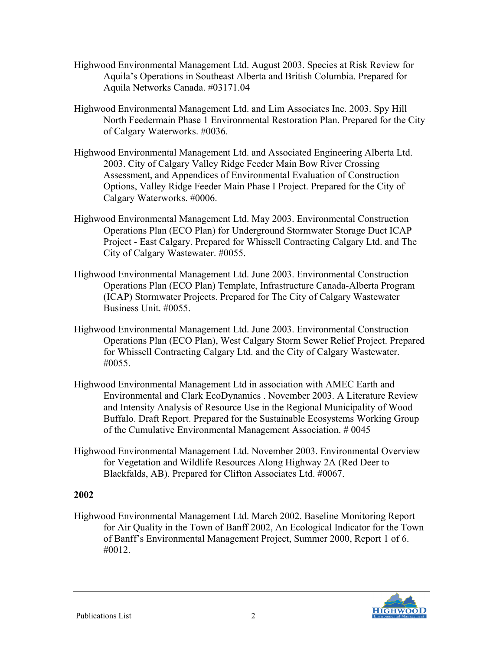- Highwood Environmental Management Ltd. August 2003. Species at Risk Review for Aquila's Operations in Southeast Alberta and British Columbia. Prepared for Aquila Networks Canada. #03171.04
- Highwood Environmental Management Ltd. and Lim Associates Inc. 2003. Spy Hill North Feedermain Phase 1 Environmental Restoration Plan. Prepared for the City of Calgary Waterworks. #0036.
- Highwood Environmental Management Ltd. and Associated Engineering Alberta Ltd. 2003. City of Calgary Valley Ridge Feeder Main Bow River Crossing Assessment, and Appendices of Environmental Evaluation of Construction Options, Valley Ridge Feeder Main Phase I Project. Prepared for the City of Calgary Waterworks. #0006.
- Highwood Environmental Management Ltd. May 2003. Environmental Construction Operations Plan (ECO Plan) for Underground Stormwater Storage Duct ICAP Project - East Calgary. Prepared for Whissell Contracting Calgary Ltd. and The City of Calgary Wastewater. #0055.
- Highwood Environmental Management Ltd. June 2003. Environmental Construction Operations Plan (ECO Plan) Template, Infrastructure Canada-Alberta Program (ICAP) Stormwater Projects. Prepared for The City of Calgary Wastewater Business Unit. #0055.
- Highwood Environmental Management Ltd. June 2003. Environmental Construction Operations Plan (ECO Plan), West Calgary Storm Sewer Relief Project. Prepared for Whissell Contracting Calgary Ltd. and the City of Calgary Wastewater. #0055.
- Highwood Environmental Management Ltd in association with AMEC Earth and Environmental and Clark EcoDynamics . November 2003. A Literature Review and Intensity Analysis of Resource Use in the Regional Municipality of Wood Buffalo. Draft Report. Prepared for the Sustainable Ecosystems Working Group of the Cumulative Environmental Management Association. # 0045
- Highwood Environmental Management Ltd. November 2003. Environmental Overview for Vegetation and Wildlife Resources Along Highway 2A (Red Deer to Blackfalds, AB). Prepared for Clifton Associates Ltd. #0067.

## **2002**

Highwood Environmental Management Ltd. March 2002. Baseline Monitoring Report for Air Quality in the Town of Banff 2002, An Ecological Indicator for the Town of Banff's Environmental Management Project, Summer 2000, Report 1 of 6. #0012.

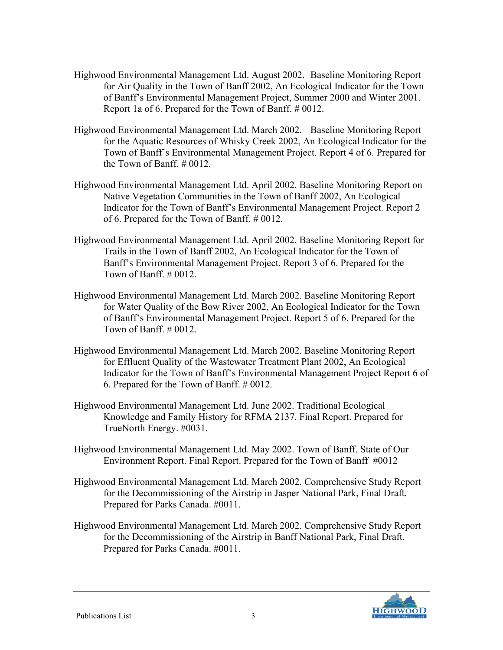- Highwood Environmental Management Ltd. August 2002. Baseline Monitoring Report for Air Quality in the Town of Banff 2002, An Ecological Indicator for the Town of Banff's Environmental Management Project, Summer 2000 and Winter 2001. Report 1a of 6. Prepared for the Town of Banff. # 0012.
- Highwood Environmental Management Ltd. March 2002. Baseline Monitoring Report for the Aquatic Resources of Whisky Creek 2002, An Ecological Indicator for the Town of Banff's Environmental Management Project. Report 4 of 6. Prepared for the Town of Banff. # 0012.
- Highwood Environmental Management Ltd. April 2002. Baseline Monitoring Report on Native Vegetation Communities in the Town of Banff 2002, An Ecological Indicator for the Town of Banff's Environmental Management Project. Report 2 of 6. Prepared for the Town of Banff. # 0012.
- Highwood Environmental Management Ltd. April 2002. Baseline Monitoring Report for Trails in the Town of Banff 2002, An Ecological Indicator for the Town of Banff's Environmental Management Project. Report 3 of 6. Prepared for the Town of Banff.  $\#$  0012.
- Highwood Environmental Management Ltd. March 2002. Baseline Monitoring Report for Water Quality of the Bow River 2002, An Ecological Indicator for the Town of Banff's Environmental Management Project. Report 5 of 6. Prepared for the Town of Banff. # 0012.
- Highwood Environmental Management Ltd. March 2002. Baseline Monitoring Report for Effluent Quality of the Wastewater Treatment Plant 2002, An Ecological Indicator for the Town of Banff's Environmental Management Project Report 6 of 6. Prepared for the Town of Banff. # 0012.
- Highwood Environmental Management Ltd. June 2002. Traditional Ecological Knowledge and Family History for RFMA 2137. Final Report. Prepared for TrueNorth Energy. #0031.
- Highwood Environmental Management Ltd. May 2002. Town of Banff. State of Our Environment Report. Final Report. Prepared for the Town of Banff #0012
- Highwood Environmental Management Ltd. March 2002. Comprehensive Study Report for the Decommissioning of the Airstrip in Jasper National Park, Final Draft. Prepared for Parks Canada. #0011.
- Highwood Environmental Management Ltd. March 2002. Comprehensive Study Report for the Decommissioning of the Airstrip in Banff National Park, Final Draft. Prepared for Parks Canada. #0011.

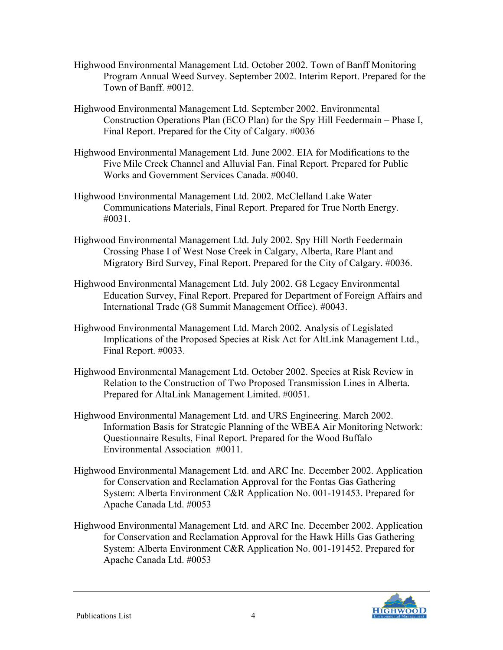- Highwood Environmental Management Ltd. October 2002. Town of Banff Monitoring Program Annual Weed Survey. September 2002. Interim Report. Prepared for the Town of Banff. #0012.
- Highwood Environmental Management Ltd. September 2002. Environmental Construction Operations Plan (ECO Plan) for the Spy Hill Feedermain – Phase I, Final Report. Prepared for the City of Calgary. #0036
- Highwood Environmental Management Ltd. June 2002. EIA for Modifications to the Five Mile Creek Channel and Alluvial Fan. Final Report. Prepared for Public Works and Government Services Canada. #0040.
- Highwood Environmental Management Ltd. 2002. McClelland Lake Water Communications Materials, Final Report. Prepared for True North Energy. #0031.
- Highwood Environmental Management Ltd. July 2002. Spy Hill North Feedermain Crossing Phase I of West Nose Creek in Calgary, Alberta, Rare Plant and Migratory Bird Survey, Final Report. Prepared for the City of Calgary. #0036.
- Highwood Environmental Management Ltd. July 2002. G8 Legacy Environmental Education Survey, Final Report. Prepared for Department of Foreign Affairs and International Trade (G8 Summit Management Office). #0043.
- Highwood Environmental Management Ltd. March 2002. Analysis of Legislated Implications of the Proposed Species at Risk Act for AltLink Management Ltd., Final Report. #0033.
- Highwood Environmental Management Ltd. October 2002. Species at Risk Review in Relation to the Construction of Two Proposed Transmission Lines in Alberta. Prepared for AltaLink Management Limited. #0051.
- Highwood Environmental Management Ltd. and URS Engineering. March 2002. Information Basis for Strategic Planning of the WBEA Air Monitoring Network: Questionnaire Results, Final Report. Prepared for the Wood Buffalo Environmental Association #0011.
- Highwood Environmental Management Ltd. and ARC Inc. December 2002. Application for Conservation and Reclamation Approval for the Fontas Gas Gathering System: Alberta Environment C&R Application No. 001-191453. Prepared for Apache Canada Ltd. #0053
- Highwood Environmental Management Ltd. and ARC Inc. December 2002. Application for Conservation and Reclamation Approval for the Hawk Hills Gas Gathering System: Alberta Environment C&R Application No. 001-191452. Prepared for Apache Canada Ltd. #0053